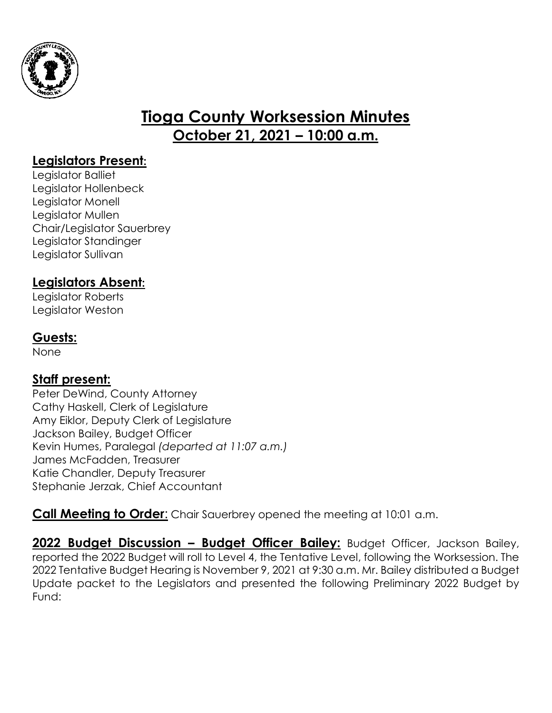

# **Tioga County Worksession Minutes October 21, 2021 – 10:00 a.m.**

### **Legislators Present:**

Legislator Balliet Legislator Hollenbeck Legislator Monell Legislator Mullen Chair/Legislator Sauerbrey Legislator Standinger Legislator Sullivan

#### **Legislators Absent:**

Legislator Roberts Legislator Weston

#### **Guests:**

None

## **Staff present:**

Peter DeWind, County Attorney Cathy Haskell, Clerk of Legislature Amy Eiklor, Deputy Clerk of Legislature Jackson Bailey, Budget Officer Kevin Humes, Paralegal *(departed at 11:07 a.m.)* James McFadden, Treasurer Katie Chandler, Deputy Treasurer Stephanie Jerzak, Chief Accountant

**Call Meeting to Order:** Chair Sauerbrey opened the meeting at 10:01 a.m.

**2022 Budget Discussion – Budget Officer Bailey:** Budget Officer, Jackson Bailey, reported the 2022 Budget will roll to Level 4, the Tentative Level, following the Worksession. The 2022 Tentative Budget Hearing is November 9, 2021 at 9:30 a.m. Mr. Bailey distributed a Budget Update packet to the Legislators and presented the following Preliminary 2022 Budget by Fund: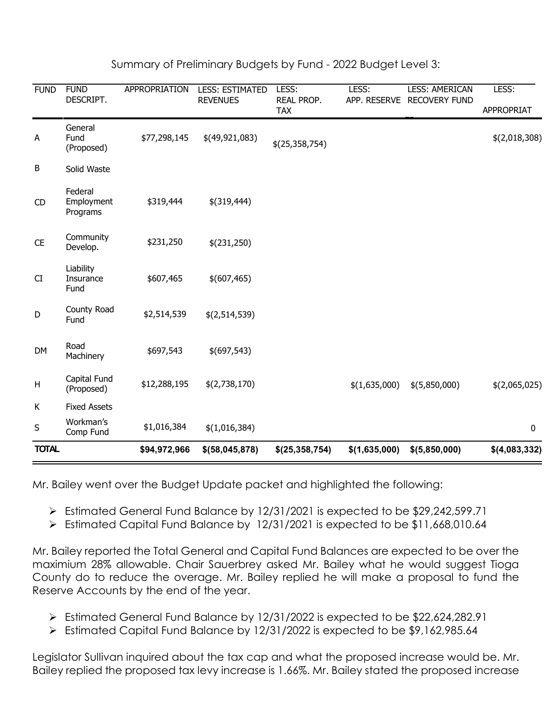| <b>FUND</b>  | <b>FUND</b><br>DESCRIPT.          | APPROPRIATION | <b>LESS: ESTIMATED</b><br><b>REVENUES</b> | LESS:<br>REAL PROP.<br><b>TAX</b> | LESS:<br>APP. RESERVE | <b>LESS: AMERICAN</b><br><b>RECOVERY FUND</b> | LESS:<br><b>APPROPRIAT</b> |
|--------------|-----------------------------------|---------------|-------------------------------------------|-----------------------------------|-----------------------|-----------------------------------------------|----------------------------|
| A            | General<br>Fund<br>(Proposed)     | \$77,298,145  | \$(49,921,083)                            | \$(25,358,754)                    |                       |                                               | \$(2,018,308)              |
| В            | Solid Waste                       |               |                                           |                                   |                       |                                               |                            |
| CD           | Federal<br>Employment<br>Programs | \$319,444     | $$$ (319,444)                             |                                   |                       |                                               |                            |
| <b>CE</b>    | Community<br>Develop.             | \$231,250     | \$(231,250)                               |                                   |                       |                                               |                            |
| CI           | Liability<br>Insurance<br>Fund    | \$607,465     | \$ (607, 465)                             |                                   |                       |                                               |                            |
| D            | County Road<br>Fund               | \$2,514,539   | \$(2,514,539)                             |                                   |                       |                                               |                            |
| <b>DM</b>    | Road<br>Machinery                 | \$697,543     | $$$ (697,543)                             |                                   |                       |                                               |                            |
| Н            | Capital Fund<br>(Proposed)        | \$12,288,195  | \$(2,738,170)                             |                                   | \$(1,635,000)         | \$(5,850,000)                                 | \$(2,065,025)              |
| K            | <b>Fixed Assets</b>               |               |                                           |                                   |                       |                                               |                            |
| $\sf S$      | Workman's<br>Comp Fund            | \$1,016,384   | \$(1,016,384)                             |                                   |                       |                                               | $\mathbf 0$                |
| <b>TOTAL</b> |                                   | \$94,972,966  | $$$ (58,045,878)                          | \$(25, 358, 754)                  | \$(1,635,000)         | \$(5,850,000)                                 | \$(4,083,332)              |

Summary of Preliminary Budgets by Fund - 2022 Budget Level 3:

Mr. Bailey went over the Budget Update packet and highlighted the following:

- Estimated General Fund Balance by 12/31/2021 is expected to be \$29,242,599.71
- Estimated Capital Fund Balance by 12/31/2021 is expected to be \$11,668,010.64

Mr. Bailey reported the Total General and Capital Fund Balances are expected to be over the maximium 28% allowable. Chair Sauerbrey asked Mr. Bailey what he would suggest Tioga County do to reduce the overage. Mr. Bailey replied he will make a proposal to fund the Reserve Accounts by the end of the year.

- Estimated General Fund Balance by 12/31/2022 is expected to be \$22,624,282.91
- Estimated Capital Fund Balance by 12/31/2022 is expected to be \$9,162,985.64

Legislator Sullivan inquired about the tax cap and what the proposed increase would be. Mr. Bailey replied the proposed tax levy increase is 1.66%. Mr. Bailey stated the proposed increase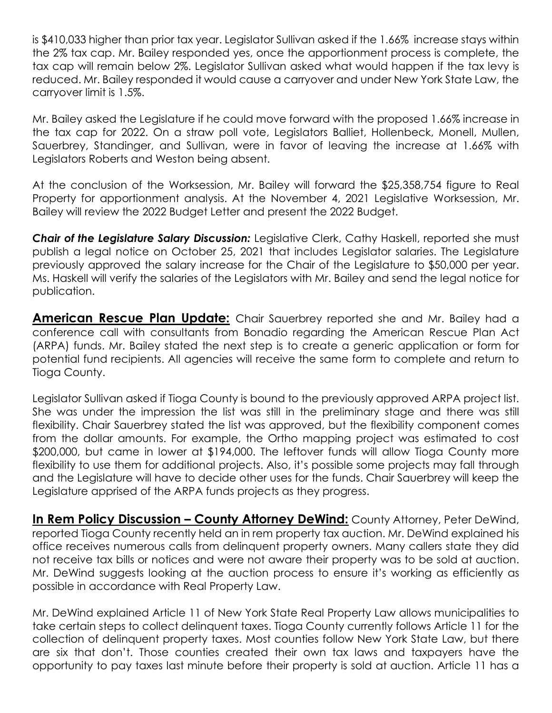is \$410,033 higher than prior tax year. Legislator Sullivan asked if the 1.66% increase stays within the 2% tax cap. Mr. Bailey responded yes, once the apportionment process is complete, the tax cap will remain below 2%. Legislator Sullivan asked what would happen if the tax levy is reduced. Mr. Bailey responded it would cause a carryover and under New York State Law, the carryover limit is 1.5%.

Mr. Bailey asked the Legislature if he could move forward with the proposed 1.66% increase in the tax cap for 2022. On a straw poll vote, Legislators Balliet, Hollenbeck, Monell, Mullen, Sauerbrey, Standinger, and Sullivan, were in favor of leaving the increase at 1.66% with Legislators Roberts and Weston being absent.

At the conclusion of the Worksession, Mr. Bailey will forward the \$25,358,754 figure to Real Property for apportionment analysis. At the November 4, 2021 Legislative Worksession, Mr. Bailey will review the 2022 Budget Letter and present the 2022 Budget.

**Chair of the Legislature Salary Discussion:** Legislative Clerk, Cathy Haskell, reported she must publish a legal notice on October 25, 2021 that includes Legislator salaries. The Legislature previously approved the salary increase for the Chair of the Legislature to \$50,000 per year. Ms. Haskell will verify the salaries of the Legislators with Mr. Bailey and send the legal notice for publication.

**American Rescue Plan Update:** Chair Sauerbrey reported she and Mr. Bailey had a conference call with consultants from Bonadio regarding the American Rescue Plan Act (ARPA) funds. Mr. Bailey stated the next step is to create a generic application or form for potential fund recipients. All agencies will receive the same form to complete and return to Tioga County.

Legislator Sullivan asked if Tioga County is bound to the previously approved ARPA project list. She was under the impression the list was still in the preliminary stage and there was still flexibility. Chair Sauerbrey stated the list was approved, but the flexibility component comes from the dollar amounts. For example, the Ortho mapping project was estimated to cost \$200,000, but came in lower at \$194,000. The leftover funds will allow Tioga County more flexibility to use them for additional projects. Also, it's possible some projects may fall through and the Legislature will have to decide other uses for the funds. Chair Sauerbrey will keep the Legislature apprised of the ARPA funds projects as they progress.

**In Rem Policy Discussion – County Attorney DeWind:** County Attorney, Peter DeWind, reported Tioga County recently held an in rem property tax auction. Mr. DeWind explained his office receives numerous calls from delinquent property owners. Many callers state they did not receive tax bills or notices and were not aware their property was to be sold at auction. Mr. DeWind suggests looking at the auction process to ensure it's working as efficiently as possible in accordance with Real Property Law.

Mr. DeWind explained Article 11 of New York State Real Property Law allows municipalities to take certain steps to collect delinquent taxes. Tioga County currently follows Article 11 for the collection of delinquent property taxes. Most counties follow New York State Law, but there are six that don't. Those counties created their own tax laws and taxpayers have the opportunity to pay taxes last minute before their property is sold at auction. Article 11 has a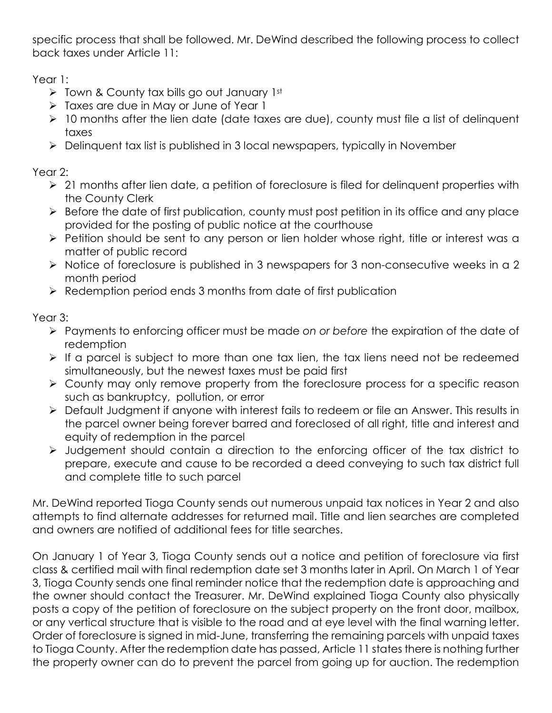specific process that shall be followed. Mr. DeWind described the following process to collect back taxes under Article 11:

Year 1:

- $\triangleright$  Town & County tax bills go out January 1st
- > Taxes are due in May or June of Year 1
- 10 months after the lien date (date taxes are due), county must file a list of delinquent taxes
- Delinquent tax list is published in 3 local newspapers, typically in November

Year 2:

- $\geq 21$  months after lien date, a petition of foreclosure is filed for delinguent properties with the County Clerk
- $\triangleright$  Before the date of first publication, county must post petition in its office and any place provided for the posting of public notice at the courthouse
- > Petition should be sent to any person or lien holder whose right, title or interest was a matter of public record
- Notice of foreclosure is published in 3 newspapers for 3 non-consecutive weeks in a 2 month period
- $\triangleright$  Redemption period ends 3 months from date of first publication

Year 3:

- Payments to enforcing officer must be made *on or before* the expiration of the date of redemption
- $\triangleright$  If a parcel is subject to more than one tax lien, the tax liens need not be redeemed simultaneously, but the newest taxes must be paid first
- County may only remove property from the foreclosure process for a specific reason such as bankruptcy, pollution, or error
- Default Judgment if anyone with interest fails to redeem or file an Answer. This results in the parcel owner being forever barred and foreclosed of all right, title and interest and equity of redemption in the parcel
- Judgement should contain a direction to the enforcing officer of the tax district to prepare, execute and cause to be recorded a deed conveying to such tax district full and complete title to such parcel

Mr. DeWind reported Tioga County sends out numerous unpaid tax notices in Year 2 and also attempts to find alternate addresses for returned mail. Title and lien searches are completed and owners are notified of additional fees for title searches.

On January 1 of Year 3, Tioga County sends out a notice and petition of foreclosure via first class & certified mail with final redemption date set 3 months later in April. On March 1 of Year 3, Tioga County sends one final reminder notice that the redemption date is approaching and the owner should contact the Treasurer. Mr. DeWind explained Tioga County also physically posts a copy of the petition of foreclosure on the subject property on the front door, mailbox, or any vertical structure that is visible to the road and at eye level with the final warning letter. Order of foreclosure is signed in mid-June, transferring the remaining parcels with unpaid taxes to Tioga County. After the redemption date has passed, Article 11 states there is nothing further the property owner can do to prevent the parcel from going up for auction. The redemption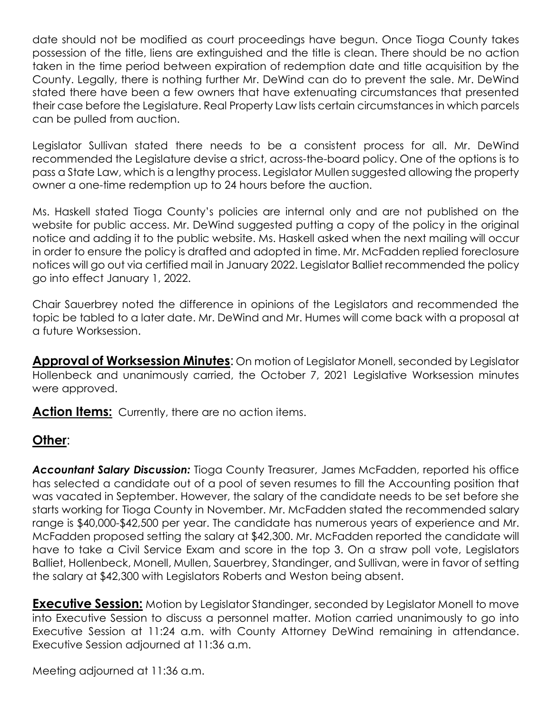date should not be modified as court proceedings have begun. Once Tioga County takes possession of the title, liens are extinguished and the title is clean. There should be no action taken in the time period between expiration of redemption date and title acquisition by the County. Legally, there is nothing further Mr. DeWind can do to prevent the sale. Mr. DeWind stated there have been a few owners that have extenuating circumstances that presented their case before the Legislature. Real Property Law lists certain circumstances in which parcels can be pulled from auction.

Legislator Sullivan stated there needs to be a consistent process for all. Mr. DeWind recommended the Legislature devise a strict, across-the-board policy. One of the options is to pass a State Law, which is a lengthy process. Legislator Mullen suggested allowing the property owner a one-time redemption up to 24 hours before the auction.

Ms. Haskell stated Tioga County's policies are internal only and are not published on the website for public access. Mr. DeWind suggested putting a copy of the policy in the original notice and adding it to the public website. Ms. Haskell asked when the next mailing will occur in order to ensure the policy is drafted and adopted in time. Mr. McFadden replied foreclosure notices will go out via certified mail in January 2022. Legislator Balliet recommended the policy go into effect January 1, 2022.

Chair Sauerbrey noted the difference in opinions of the Legislators and recommended the topic be tabled to a later date. Mr. DeWind and Mr. Humes will come back with a proposal at a future Worksession.

**Approval of Worksession Minutes**: On motion of Legislator Monell, seconded by Legislator Hollenbeck and unanimously carried, the October 7, 2021 Legislative Worksession minutes were approved.

Action Items: Currently, there are no action items.

## **Other**:

*Accountant Salary Discussion:* Tioga County Treasurer, James McFadden, reported his office has selected a candidate out of a pool of seven resumes to fill the Accounting position that was vacated in September. However, the salary of the candidate needs to be set before she starts working for Tioga County in November. Mr. McFadden stated the recommended salary range is \$40,000-\$42,500 per year. The candidate has numerous years of experience and Mr. McFadden proposed setting the salary at \$42,300. Mr. McFadden reported the candidate will have to take a Civil Service Exam and score in the top 3. On a straw poll vote, Legislators Balliet, Hollenbeck, Monell, Mullen, Sauerbrey, Standinger, and Sullivan, were in favor of setting the salary at \$42,300 with Legislators Roberts and Weston being absent.

**Executive Session:** Motion by Legislator Standinger, seconded by Legislator Monell to move into Executive Session to discuss a personnel matter. Motion carried unanimously to go into Executive Session at 11:24 a.m. with County Attorney DeWind remaining in attendance. Executive Session adjourned at 11:36 a.m.

Meeting adjourned at 11:36 a.m.